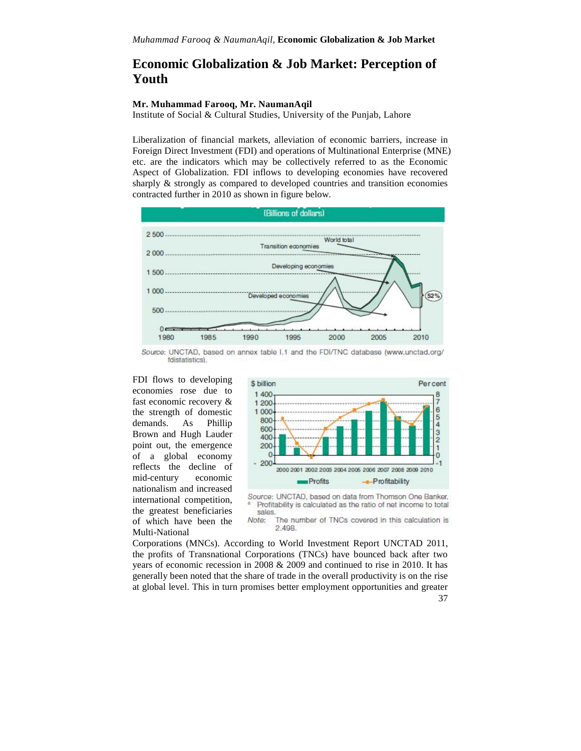# **Economic Globalization & Job Market: Perception of Youth**

## **Mr. Muhammad Farooq, Mr. NaumanAqil**

Institute of Social & Cultural Studies, University of the Punjab, Lahore

Liberalization of financial markets, alleviation of economic barriers, increase in Foreign Direct Investment (FDI) and operations of Multinational Enterprise (MNE) etc. are the indicators which may be collectively referred to as the Economic Aspect of Globalization. FDI inflows to developing economies have recovered sharply & strongly as compared to developed countries and transition economies contracted further in 2010 as shown in figure below.



Source: UNCTAD, based on annex table I.1 and the FDI/TNC database (www.unctad.org/ fdistatistics).

FDI flows to developing s billion economies rose due to fast economic recovery & the strength of domestic 1000<br>demands  $\Delta s$  Phillip 800 demands. As  $\frac{\text{Philip}}{\text{600}}$ Brown and Hugh Lauder point out, the emergence 200 of a global economy reflects the decline of mid-century economic international competition, of which have been the Multi-National





The number of TNCs covered in this calculation is 2.498.

Corporations (MNCs). According to World Investment Report UNCTAD 2011, the profits of Transnational Corporations (TNCs) have bounced back after two years of economic recession in 2008 & 2009 and continued to rise in 2010. It has generally been noted that the share of trade in the overall productivity is on the rise at global level. This in turn promises better employment opportunities and greater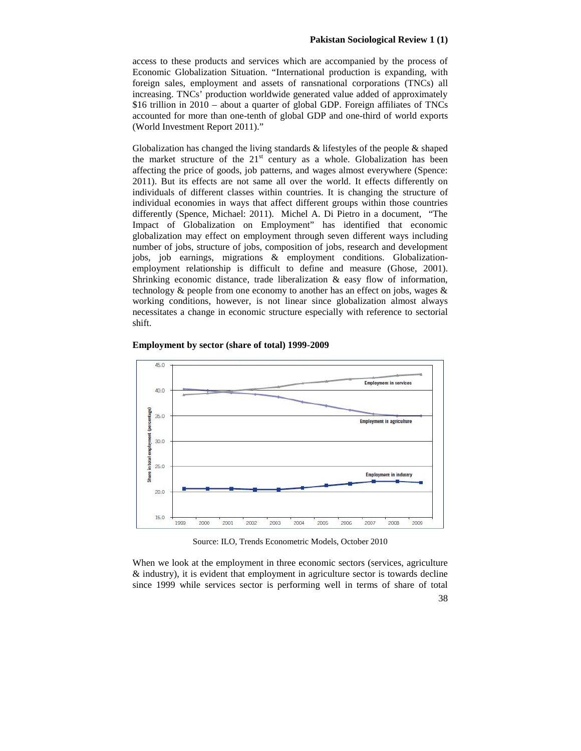access to these products and services which are accompanied by the process of Economic Globalization Situation. "International production is expanding, with foreign sales, employment and assets of ransnational corporations (TNCs) all increasing. TNCs' production worldwide generated value added of approximately \$16 trillion in 2010 – about a quarter of global GDP. Foreign affiliates of TNCs accounted for more than one-tenth of global GDP and one-third of world exports (World Investment Report 2011)."

Globalization has changed the living standards  $\&$  lifestyles of the people  $\&$  shaped the market structure of the  $21<sup>st</sup>$  century as a whole. Globalization has been affecting the price of goods, job patterns, and wages almost everywhere (Spence: 2011). But its effects are not same all over the world. It effects differently on individuals of different classes within countries. It is changing the structure of individual economies in ways that affect different groups within those countries differently (Spence, Michael: 2011). Michel A. Di Pietro in a document, "The Impact of Globalization on Employment" has identified that economic globalization may effect on employment through seven different ways including number of jobs, structure of jobs, composition of jobs, research and development jobs, job earnings, migrations & employment conditions. Globalization employment relationship is difficult to define and measure (Ghose, 2001). Shrinking economic distance, trade liberalization  $\&$  easy flow of information, technology & people from one economy to another has an effect on jobs, wages & working conditions, however, is not linear since globalization almost always necessitates a change in economic structure especially with reference to sectorial shift.



#### **Employment by sector (share of total) 1999-2009**

Source: ILO, Trends Econometric Models, October 2010

When we look at the employment in three economic sectors (services, agriculture & industry), it is evident that employment in agriculture sector is towards decline since 1999 while services sector is performing well in terms of share of total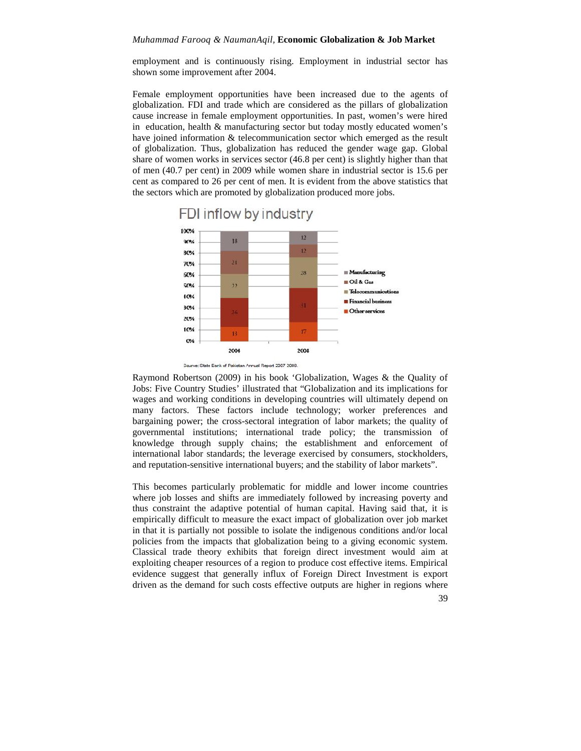#### *Muhammad Farooq & NaumanAqil,* **Economic Globalization & Job Market**

employment and is continuously rising. Employment in industrial sector has shown some improvement after 2004.

Female employment opportunities have been increased due to the agents of globalization. FDI and trade which are considered as the pillars of globalization cause increase in female employment opportunities. In past, women's were hired in education, health & manufacturing sector but today mostly educated women's have joined information & telecommunication sector which emerged as the result of globalization. Thus, globalization has reduced the gender wage gap. Global share of women works in services sector (46.8 per cent) is slightly higher than that of men (40.7 per cent) in 2009 while women share in industrial sector is 15.6 per cent as compared to 26 per cent of men. It is evident from the above statistics that the sectors which are promoted by globalization produced more jobs.



Source: State Bank of Pakistan Annual Report 2007 2008.

Raymond Robertson (2009) in his book 'Globalization, Wages & the Quality of Jobs: Five Country Studies' illustrated that "Globalization and its implications for wages and working conditions in developing countries will ultimately depend on many factors. These factors include technology; worker preferences and bargaining power; the cross-sectoral integration of labor markets; the quality of governmental institutions; international trade policy; the transmission of knowledge through supply chains; the establishment and enforcement of international labor standards; the leverage exercised by consumers, stockholders, and reputation-sensitive international buyers; and the stability of labor markets".

This becomes particularly problematic for middle and lower income countries where job losses and shifts are immediately followed by increasing poverty and thus constraint the adaptive potential of human capital. Having said that, it is empirically difficult to measure the exact impact of globalization over job market in that it is partially not possible to isolate the indigenous conditions and/or local policies from the impacts that globalization being to a giving economic system. Classical trade theory exhibits that foreign direct investment would aim at exploiting cheaper resources of a region to produce cost effective items. Empirical evidence suggest that generally influx of Foreign Direct Investment is export driven as the demand for such costs effective outputs are higher in regions where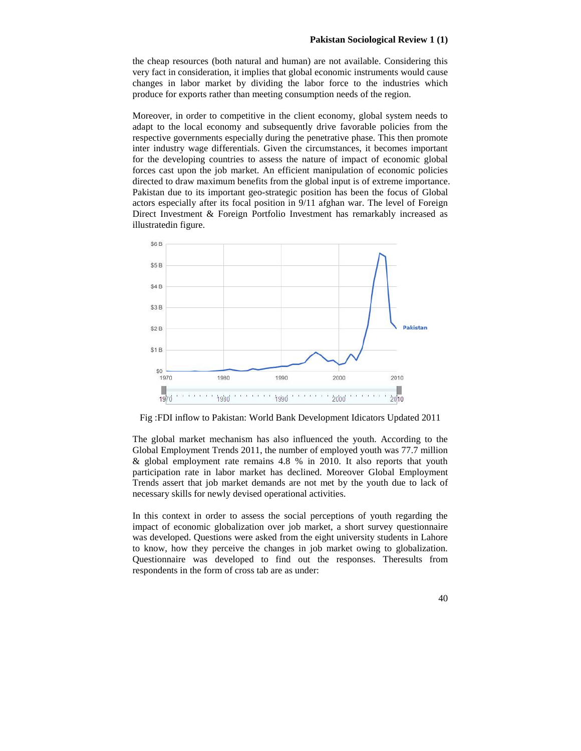the cheap resources (both natural and human) are not available. Considering this very fact in consideration, it implies that global economic instruments would cause changes in labor market by dividing the labor force to the industries which produce for exports rather than meeting consumption needs of the region.

Moreover, in order to competitive in the client economy, global system needs to adapt to the local economy and subsequently drive favorable policies from the respective governments especially during the penetrative phase. This then promote inter industry wage differentials. Given the circumstances, it becomes important for the developing countries to assess the nature of impact of economic global forces cast upon the job market. An efficient manipulation of economic policies directed to draw maximum benefits from the global input is of extreme importance. Pakistan due to its important geo-strategic position has been the focus of Global actors especially after its focal position in 9/11 afghan war. The level of Foreign Direct Investment & Foreign Portfolio Investment has remarkably increased as illustratedin figure.



Fig :FDI inflow to Pakistan: World Bank Development Idicators Updated 2011

The global market mechanism has also influenced the youth. According to the Global Employment Trends 2011, the number of employed youth was 77.7 million & global employment rate remains 4.8 % in 2010. It also reports that youth participation rate in labor market has declined. Moreover Global Employment Trends assert that job market demands are not met by the youth due to lack of necessary skills for newly devised operational activities.

In this context in order to assess the social perceptions of youth regarding the impact of economic globalization over job market, a short survey questionnaire was developed. Questions were asked from the eight university students in Lahore to know, how they perceive the changes in job market owing to globalization. Questionnaire was developed to find out the responses. Theresults from respondents in the form of cross tab are as under: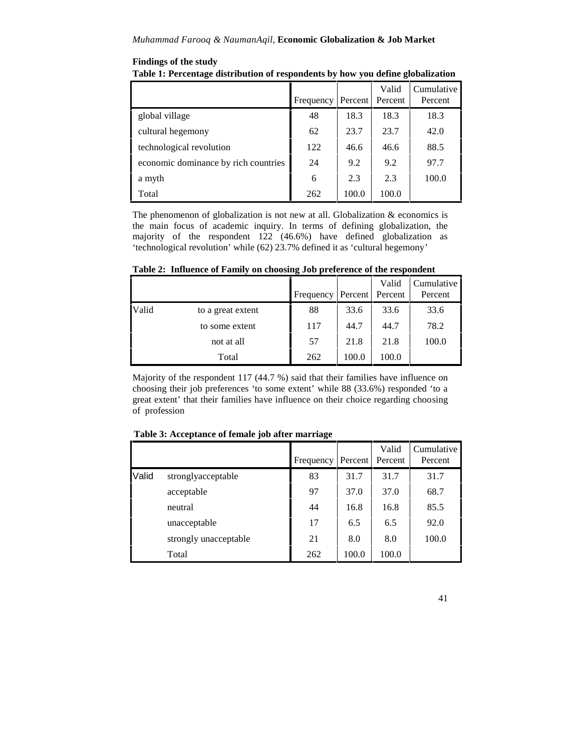### **Findings of the study**

| Table 1: Percentage distribution of respondents by how you define globalization |  |
|---------------------------------------------------------------------------------|--|
|                                                                                 |  |

|                                      | Frequency Percent |       | Valid<br>Percent | Cumulative<br>Percent |
|--------------------------------------|-------------------|-------|------------------|-----------------------|
| global village                       | 48                | 18.3  | 18.3             | 18.3                  |
| cultural hegemony                    | 62                | 23.7  | 23.7             | 42.0                  |
| technological revolution             | 122               | 46.6  | 46.6             | 88.5                  |
| economic dominance by rich countries | 24                | 9.2   | 9.2              | 97.7                  |
| a myth                               | 6                 | 2.3   | 2.3              | 100.0                 |
| Total                                | 262               | 100.0 | 100.0            |                       |

The phenomenon of globalization is not new at all. Globalization  $\&$  economics is the main focus of academic inquiry. In terms of defining globalization, the majority of the respondent 122 (46.6%) have defined globalization as 'technological revolution' while (62) 23.7% defined it as 'cultural hegemony'

|       |                   | Frequency |       | Valid<br>Percent Percent | Cumulative<br>Percent |
|-------|-------------------|-----------|-------|--------------------------|-----------------------|
| Valid | to a great extent | 88        | 33.6  | 33.6                     | 33.6                  |
|       | to some extent    | 117       | 44.7  | 44.7                     | 78.2                  |
|       | not at all        | 57        | 21.8  | 21.8                     | 100.0                 |
|       | Total             | 262       | 100.0 | 100.0                    |                       |

**Table 2: Influence of Family on choosing Job preference of the respondent**

Majority of the respondent 117 (44.7 %) said that their families have influence on choosing their job preferences 'to some extent' while 88 (33.6%) responded 'to a great extent' that their families have influence on their choice regarding choosing of profession

|       |                       | Frequency | Percent | Valid<br>Percent | Cumulative<br>Percent |
|-------|-----------------------|-----------|---------|------------------|-----------------------|
| Valid | stronglyacceptable    | 83        | 31.7    | 31.7             | 31.7                  |
|       | acceptable            | 97        | 37.0    | 37.0             | 68.7                  |
|       | neutral               | 44        | 16.8    | 16.8             | 85.5                  |
|       | unacceptable          | 17        | 6.5     | 6.5              | 92.0                  |
|       | strongly unacceptable | 21        | 8.0     | 8.0              | 100.0                 |
|       | Total                 | 262       | 100.0   | 100.0            |                       |

**Table 3: Acceptance of female job after marriage**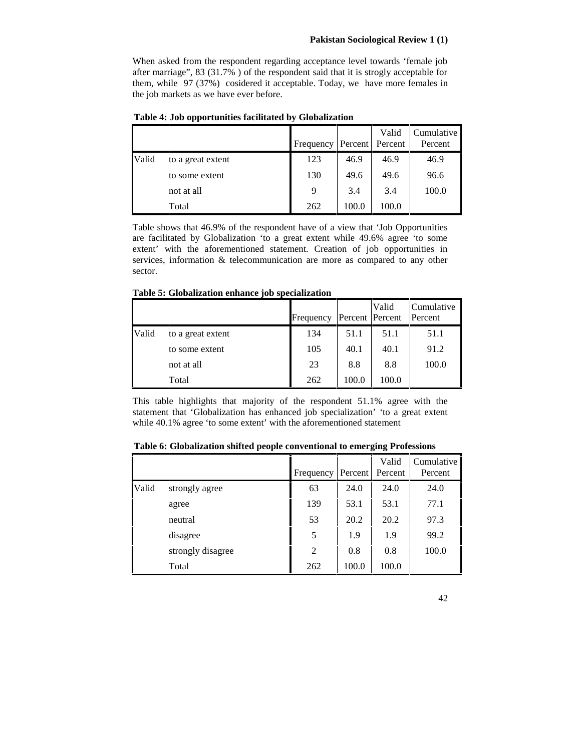When asked from the respondent regarding acceptance level towards 'female job after marriage", 83 (31.7% ) of the respondent said that it is strogly acceptable for them, while 97 (37%) cosidered it acceptable. Today, we have more females in the job markets as we have ever before.

|       |                   | Frequency Percent |       | Valid<br>Percent | Cumulative<br>Percent |
|-------|-------------------|-------------------|-------|------------------|-----------------------|
| Valid | to a great extent | 123               | 46.9  | 46.9             | 46.9                  |
|       | to some extent    | 130               | 49.6  | 49.6             | 96.6                  |
|       | not at all        | 9                 | 3.4   | 3.4              | 100.0                 |
|       | Total             | 262               | 100.0 | 100.0            |                       |

**Table 4: Job opportunities facilitated by Globalization**

Table shows that 46.9% of the respondent have of a view that 'Job Opportunities are facilitated by Globalization 'to a great extent while 49.6% agree 'to some extent' with the aforementioned statement. Creation of job opportunities in services, information & telecommunication are more as compared to any other sector.

**Table 5: Globalization enhance job specialization**

|       |                   | Frequency | Percent Percent | Valid | Cumulative<br>Percent |  |
|-------|-------------------|-----------|-----------------|-------|-----------------------|--|
| Valid | to a great extent | 134       | 51.1            | 51.1  | 51.1                  |  |
|       | to some extent    | 105       | 40.1            | 40.1  | 91.2                  |  |
|       | not at all        | 23        | 8.8             | 8.8   | 100.0                 |  |
|       | Total             | 262       | 100.0           | 100.0 |                       |  |

This table highlights that majority of the respondent 51.1% agree with the statement that 'Globalization has enhanced job specialization' 'to a great extent while 40.1% agree 'to some extent' with the aforementioned statement

| Table 6: Globalization shifted people conventional to emerging Professions |  |                  |  |  |  |
|----------------------------------------------------------------------------|--|------------------|--|--|--|
|                                                                            |  | $Valid$ $Cumula$ |  |  |  |

|       |                   |           |         | Valid   | Cumulative |  |
|-------|-------------------|-----------|---------|---------|------------|--|
|       |                   | Frequency | Percent | Percent | Percent    |  |
| Valid | strongly agree    | 63        | 24.0    | 24.0    | 24.0       |  |
|       | agree             | 139       | 53.1    | 53.1    | 77.1       |  |
|       | neutral           | 53        | 20.2    | 20.2    | 97.3       |  |
|       | disagree          | 5         | 1.9     | 1.9     | 99.2       |  |
|       | strongly disagree | 2         | 0.8     | 0.8     | 100.0      |  |
|       | Total             | 262       | 100.0   | 100.0   |            |  |

42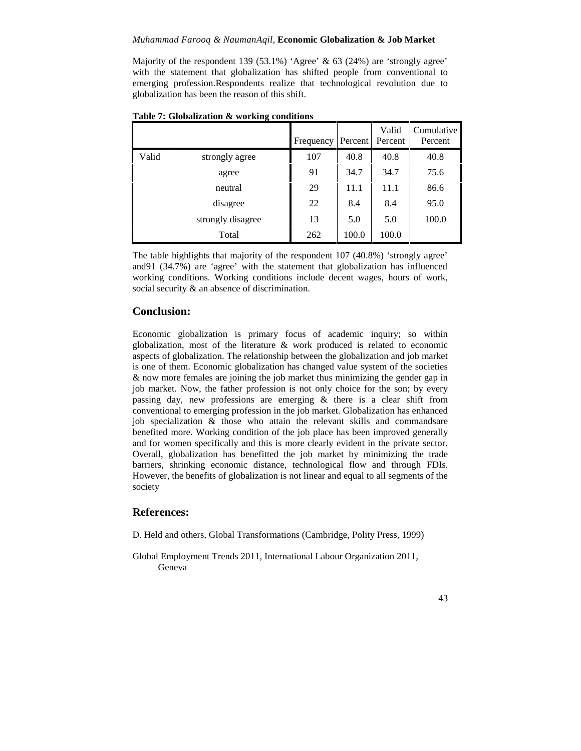### *Muhammad Farooq & NaumanAqil,* **Economic Globalization & Job Market**

Majority of the respondent 139 (53.1%) 'Agree' & 63 (24%) are 'strongly agree' with the statement that globalization has shifted people from conventional to emerging profession.Respondents realize that technological revolution due to globalization has been the reason of this shift.

|       |                   | Frequency | Percent | Valid<br>Percent | Cumulative<br>Percent |
|-------|-------------------|-----------|---------|------------------|-----------------------|
| Valid | strongly agree    | 107       | 40.8    | 40.8             | 40.8                  |
|       | agree             | 91        | 34.7    | 34.7             | 75.6                  |
|       | neutral           | 29        | 11.1    | 11.1             | 86.6                  |
|       | disagree          | 22        | 8.4     | 8.4              | 95.0                  |
|       | strongly disagree | 13        | 5.0     | 5.0              | 100.0                 |
|       | Total             | 262       | 100.0   | 100.0            |                       |

**Table 7: Globalization & working conditions**

The table highlights that majority of the respondent 107 (40.8%) 'strongly agree' and91 (34.7%) are 'agree' with the statement that globalization has influenced working conditions. Working conditions include decent wages, hours of work, social security  $\&$  an absence of discrimination.

### **Conclusion:**

Economic globalization is primary focus of academic inquiry; so within globalization, most of the literature & work produced is related to economic aspects of globalization. The relationship between the globalization and job market is one of them. Economic globalization has changed value system of the societies & now more females are joining the job market thus minimizing the gender gap in job market. Now, the father profession is not only choice for the son; by every passing day, new professions are emerging & there is a clear shift from conventional to emerging profession in the job market. Globalization has enhanced job specialization & those who attain the relevant skills and commandsare benefited more. Working condition of the job place has been improved generally and for women specifically and this is more clearly evident in the private sector. Overall, globalization has benefitted the job market by minimizing the trade barriers, shrinking economic distance, technological flow and through FDIs. However, the benefits of globalization is not linear and equal to all segments of the society

# **References:**

D. Held and others, Global Transformations (Cambridge, Polity Press, 1999)

Global Employment Trends 2011, International Labour Organization 2011, Geneva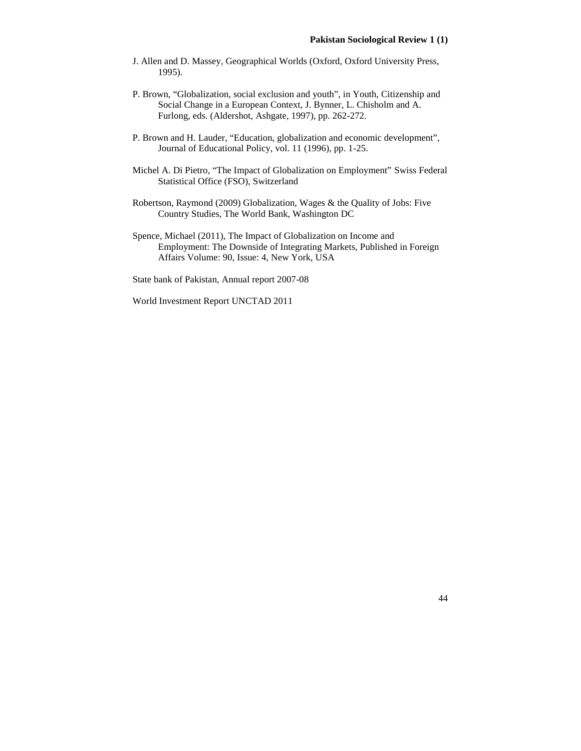- J. Allen and D. Massey, Geographical Worlds (Oxford, Oxford University Press, 1995).
- P. Brown, "Globalization, social exclusion and youth", in Youth, Citizenship and Social Change in a European Context, J. Bynner, L. Chisholm and A. Furlong, eds. (Aldershot, Ashgate, 1997), pp. 262-272.
- P. Brown and H. Lauder, "Education, globalization and economic development", Journal of Educational Policy, vol. 11 (1996), pp. 1-25.
- Michel A. Di Pietro, "The Impact of Globalization on Employment" Swiss Federal Statistical Office (FSO), Switzerland
- Robertson, Raymond (2009) Globalization, Wages & the Quality of Jobs: Five Country Studies, The World Bank, Washington DC
- Spence, Michael (2011), The Impact of Globalization on Income and Employment: The Downside of Integrating Markets, Published in Foreign Affairs Volume: 90, Issue: 4, New York, USA

State bank of Pakistan, Annual report 2007-08

World Investment Report UNCTAD 2011